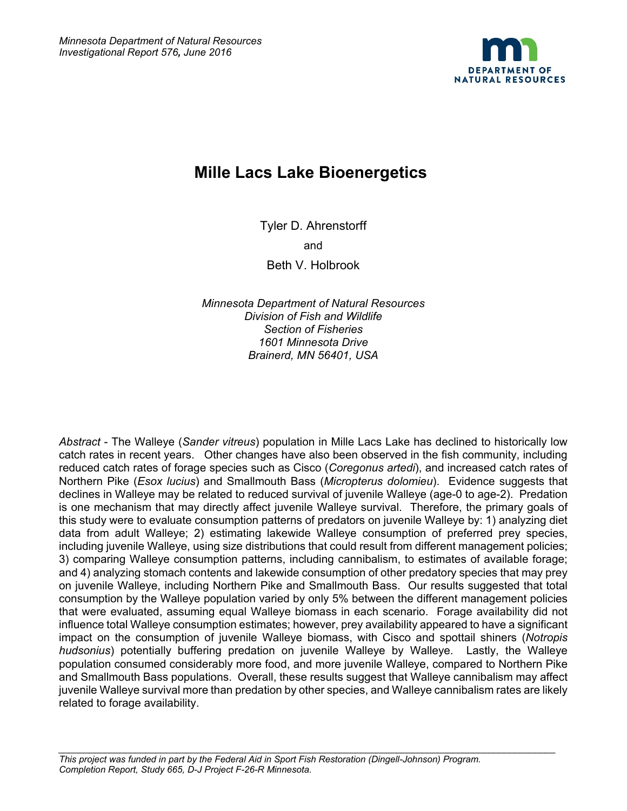

# **Mille Lacs Lake Bioenergetics**

Tyler D. Ahrenstorff

and

Beth V. Holbrook

*Minnesota Department of Natural Resources Division of Fish and Wildlife Section of Fisheries 1601 Minnesota Drive Brainerd, MN 56401, USA*

*Abstract* - The Walleye (*Sander vitreus*) population in Mille Lacs Lake has declined to historically low catch rates in recent years. Other changes have also been observed in the fish community, including reduced catch rates of forage species such as Cisco (*Coregonus artedi*), and increased catch rates of Northern Pike (*Esox lucius*) and Smallmouth Bass (*Micropterus dolomieu*). Evidence suggests that declines in Walleye may be related to reduced survival of juvenile Walleye (age-0 to age-2). Predation is one mechanism that may directly affect juvenile Walleye survival. Therefore, the primary goals of this study were to evaluate consumption patterns of predators on juvenile Walleye by: 1) analyzing diet data from adult Walleye; 2) estimating lakewide Walleye consumption of preferred prey species, including juvenile Walleye, using size distributions that could result from different management policies; 3) comparing Walleye consumption patterns, including cannibalism, to estimates of available forage; and 4) analyzing stomach contents and lakewide consumption of other predatory species that may prey on juvenile Walleye, including Northern Pike and Smallmouth Bass. Our results suggested that total consumption by the Walleye population varied by only 5% between the different management policies that were evaluated, assuming equal Walleye biomass in each scenario. Forage availability did not influence total Walleye consumption estimates; however, prey availability appeared to have a significant impact on the consumption of juvenile Walleye biomass, with Cisco and spottail shiners (*Notropis hudsonius*) potentially buffering predation on juvenile Walleye by Walleye. Lastly, the Walleye population consumed considerably more food, and more juvenile Walleye, compared to Northern Pike and Smallmouth Bass populations. Overall, these results suggest that Walleye cannibalism may affect juvenile Walleye survival more than predation by other species, and Walleye cannibalism rates are likely related to forage availability.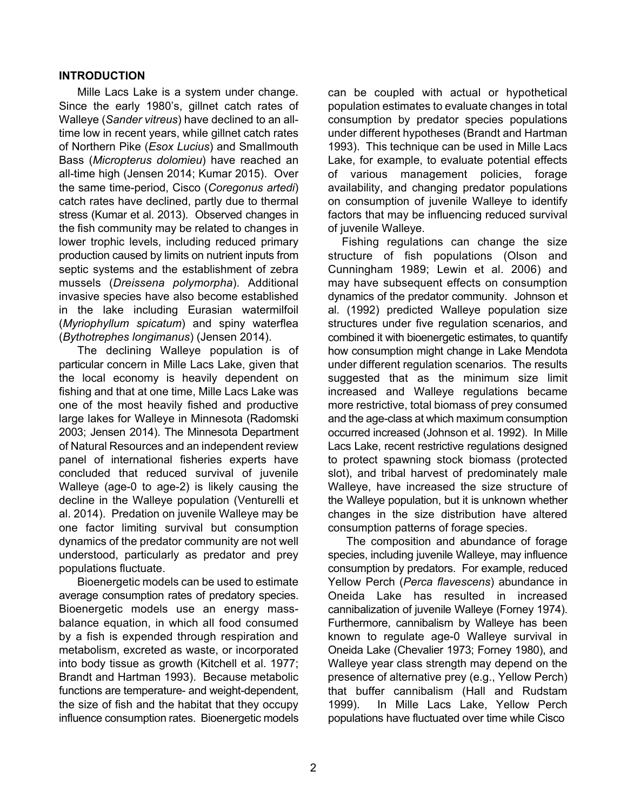#### **INTRODUCTION**

Mille Lacs Lake is a system under change. Since the early 1980's, gillnet catch rates of Walleye (*Sander vitreus*) have declined to an alltime low in recent years, while gillnet catch rates of Northern Pike (*Esox Lucius*) and Smallmouth Bass (*Micropterus dolomieu*) have reached an all-time high (Jensen 2014; Kumar 2015). Over the same time-period, Cisco (*Coregonus artedi*) catch rates have declined, partly due to thermal stress (Kumar et al. 2013). Observed changes in the fish community may be related to changes in lower trophic levels, including reduced primary production caused by limits on nutrient inputs from septic systems and the establishment of zebra mussels (*Dreissena polymorpha*). Additional invasive species have also become established in the lake including Eurasian watermilfoil (*Myriophyllum spicatum*) and spiny waterflea (*Bythotrephes longimanus*) (Jensen 2014).

The declining Walleye population is of particular concern in Mille Lacs Lake, given that the local economy is heavily dependent on fishing and that at one time, Mille Lacs Lake was one of the most heavily fished and productive large lakes for Walleye in Minnesota (Radomski 2003; Jensen 2014). The Minnesota Department of Natural Resources and an independent review panel of international fisheries experts have concluded that reduced survival of juvenile Walleye (age-0 to age-2) is likely causing the decline in the Walleye population (Venturelli et al. 2014). Predation on juvenile Walleye may be one factor limiting survival but consumption dynamics of the predator community are not well understood, particularly as predator and prey populations fluctuate.

Bioenergetic models can be used to estimate average consumption rates of predatory species. Bioenergetic models use an energy massbalance equation, in which all food consumed by a fish is expended through respiration and metabolism, excreted as waste, or incorporated into body tissue as growth (Kitchell et al. 1977; Brandt and Hartman 1993). Because metabolic functions are temperature- and weight-dependent, the size of fish and the habitat that they occupy influence consumption rates. Bioenergetic models can be coupled with actual or hypothetical population estimates to evaluate changes in total consumption by predator species populations under different hypotheses (Brandt and Hartman 1993). This technique can be used in Mille Lacs Lake, for example, to evaluate potential effects of various management policies, forage availability, and changing predator populations on consumption of juvenile Walleye to identify factors that may be influencing reduced survival of juvenile Walleye.

Fishing regulations can change the size structure of fish populations (Olson and Cunningham 1989; Lewin et al. 2006) and may have subsequent effects on consumption dynamics of the predator community. Johnson et al. (1992) predicted Walleye population size structures under five regulation scenarios, and combined it with bioenergetic estimates, to quantify how consumption might change in Lake Mendota under different regulation scenarios. The results suggested that as the minimum size limit increased and Walleye regulations became more restrictive, total biomass of prey consumed and the age-class at which maximum consumption occurred increased (Johnson et al. 1992). In Mille Lacs Lake, recent restrictive regulations designed to protect spawning stock biomass (protected slot), and tribal harvest of predominately male Walleye, have increased the size structure of the Walleye population, but it is unknown whether changes in the size distribution have altered consumption patterns of forage species.

The composition and abundance of forage species, including juvenile Walleye, may influence consumption by predators. For example, reduced Yellow Perch (*Perca flavescens*) abundance in Oneida Lake has resulted in increased cannibalization of juvenile Walleye (Forney 1974). Furthermore, cannibalism by Walleye has been known to regulate age-0 Walleye survival in Oneida Lake (Chevalier 1973; Forney 1980), and Walleye year class strength may depend on the presence of alternative prey (e.g., Yellow Perch) that buffer cannibalism (Hall and Rudstam 1999). In Mille Lacs Lake, Yellow Perch populations have fluctuated over time while Cisco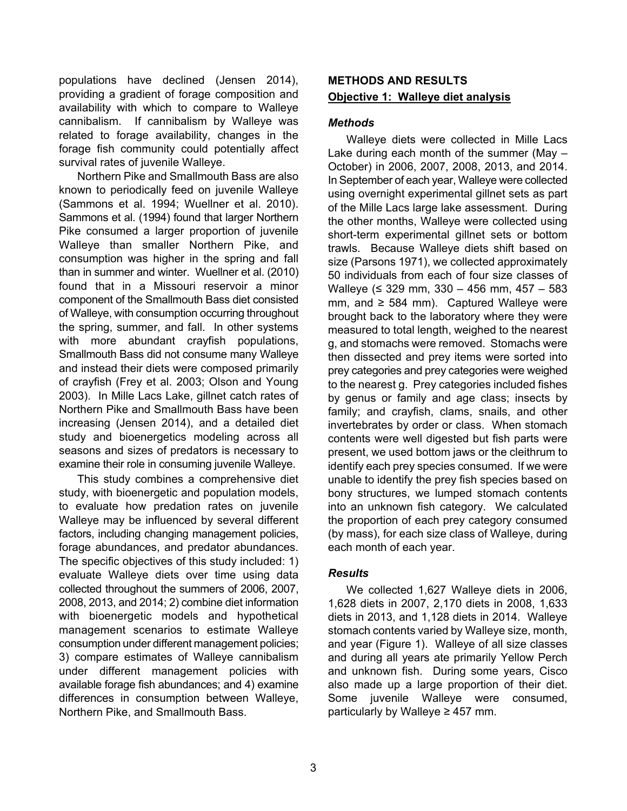populations have declined (Jensen 2014), providing a gradient of forage composition and availability with which to compare to Walleye cannibalism. If cannibalism by Walleye was related to forage availability, changes in the forage fish community could potentially affect survival rates of juvenile Walleye.

Northern Pike and Smallmouth Bass are also known to periodically feed on juvenile Walleye (Sammons et al. 1994; Wuellner et al. 2010). Sammons et al. (1994) found that larger Northern Pike consumed a larger proportion of juvenile Walleye than smaller Northern Pike, and consumption was higher in the spring and fall than in summer and winter. Wuellner et al. (2010) found that in a Missouri reservoir a minor component of the Smallmouth Bass diet consisted of Walleye, with consumption occurring throughout the spring, summer, and fall. In other systems with more abundant crayfish populations, Smallmouth Bass did not consume many Walleye and instead their diets were composed primarily of crayfish (Frey et al. 2003; Olson and Young 2003). In Mille Lacs Lake, gillnet catch rates of Northern Pike and Smallmouth Bass have been increasing (Jensen 2014), and a detailed diet study and bioenergetics modeling across all seasons and sizes of predators is necessary to examine their role in consuming juvenile Walleye.

This study combines a comprehensive diet study, with bioenergetic and population models, to evaluate how predation rates on juvenile Walleye may be influenced by several different factors, including changing management policies, forage abundances, and predator abundances. The specific objectives of this study included: 1) evaluate Walleye diets over time using data collected throughout the summers of 2006, 2007, 2008, 2013, and 2014; 2) combine diet information with bioenergetic models and hypothetical management scenarios to estimate Walleye consumption under different management policies; 3) compare estimates of Walleye cannibalism under different management policies with available forage fish abundances; and 4) examine differences in consumption between Walleye, Northern Pike, and Smallmouth Bass.

# **METHODS AND RESULTS Objective 1: Walleye diet analysis**

## *Methods*

Walleye diets were collected in Mille Lacs Lake during each month of the summer (May – October) in 2006, 2007, 2008, 2013, and 2014. In September of each year, Walleye were collected using overnight experimental gillnet sets as part of the Mille Lacs large lake assessment. During the other months, Walleye were collected using short-term experimental gillnet sets or bottom trawls. Because Walleye diets shift based on size (Parsons 1971), we collected approximately 50 individuals from each of four size classes of Walleye (≤ 329 mm, 330 – 456 mm, 457 – 583 mm, and  $\geq$  584 mm). Captured Walleye were brought back to the laboratory where they were measured to total length, weighed to the nearest g, and stomachs were removed. Stomachs were then dissected and prey items were sorted into prey categories and prey categories were weighed to the nearest g. Prey categories included fishes by genus or family and age class; insects by family; and crayfish, clams, snails, and other invertebrates by order or class. When stomach contents were well digested but fish parts were present, we used bottom jaws or the cleithrum to identify each prey species consumed. If we were unable to identify the prey fish species based on bony structures, we lumped stomach contents into an unknown fish category. We calculated the proportion of each prey category consumed (by mass), for each size class of Walleye, during each month of each year.

## *Results*

We collected 1,627 Walleye diets in 2006, 1,628 diets in 2007, 2,170 diets in 2008, 1,633 diets in 2013, and 1,128 diets in 2014. Walleye stomach contents varied by Walleye size, month, and year (Figure 1). Walleye of all size classes and during all years ate primarily Yellow Perch and unknown fish. During some years, Cisco also made up a large proportion of their diet. Some juvenile Walleye were consumed, particularly by Walleye  $\geq$  457 mm.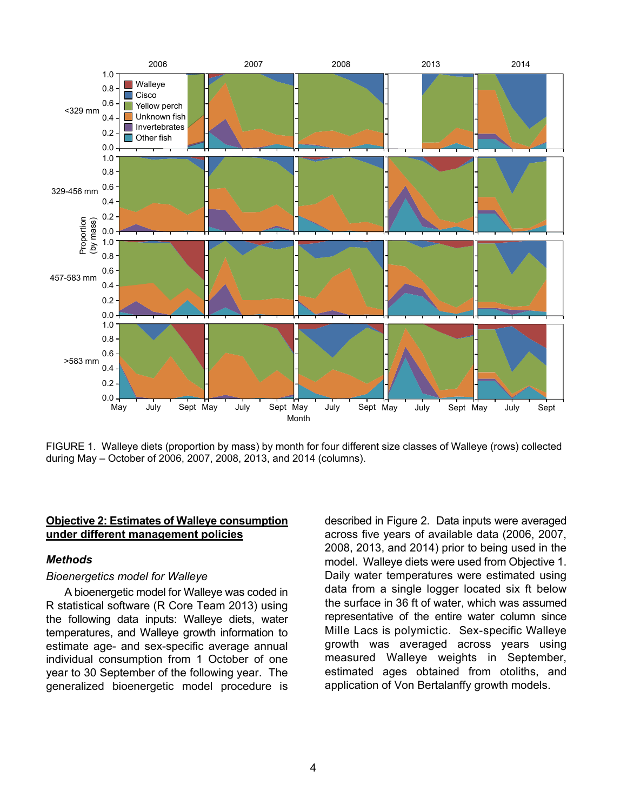

FIGURE 1. Walleye diets (proportion by mass) by month for four different size classes of Walleye (rows) collected during May – October of 2006, 2007, 2008, 2013, and 2014 (columns).

## **Objective 2: Estimates of Walleye consumption under different management policies**

#### *Methods*

#### *Bioenergetics model for Walleye*

A bioenergetic model for Walleye was coded in R statistical software (R Core Team 2013) using the following data inputs: Walleye diets, water temperatures, and Walleye growth information to estimate age- and sex-specific average annual individual consumption from 1 October of one year to 30 September of the following year. The generalized bioenergetic model procedure is

described in Figure 2. Data inputs were averaged across five years of available data (2006, 2007, 2008, 2013, and 2014) prior to being used in the model. Walleye diets were used from Objective 1. Daily water temperatures were estimated using data from a single logger located six ft below the surface in 36 ft of water, which was assumed representative of the entire water column since Mille Lacs is polymictic. Sex-specific Walleye growth was averaged across years using measured Walleye weights in September, estimated ages obtained from otoliths, and application of Von Bertalanffy growth models.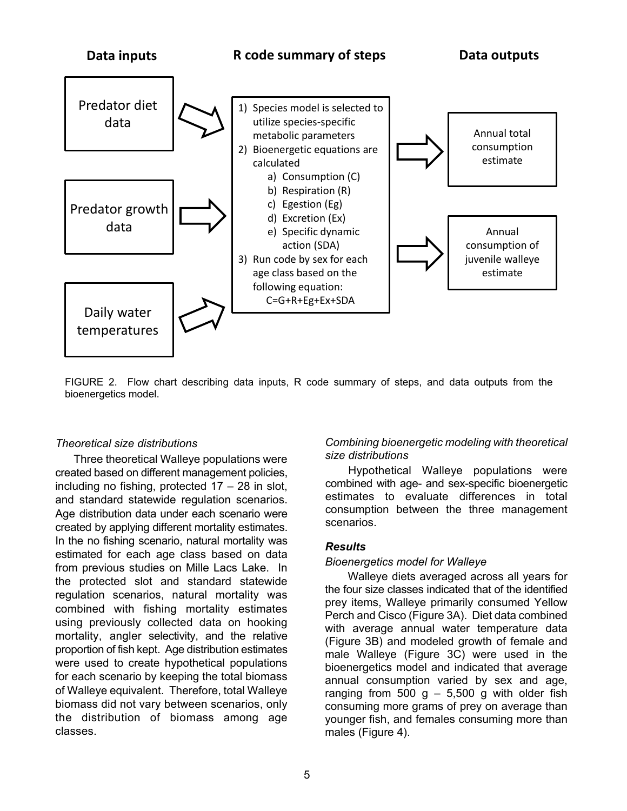

FIGURE 2. Flow chart describing data inputs, R code summary of steps, and data outputs from the bioenergetics model.

#### *Theoretical size distributions*

Three theoretical Walleye populations were created based on different management policies, including no fishing, protected  $17 - 28$  in slot, and standard statewide regulation scenarios. Age distribution data under each scenario were created by applying different mortality estimates. In the no fishing scenario, natural mortality was estimated for each age class based on data from previous studies on Mille Lacs Lake. In the protected slot and standard statewide regulation scenarios, natural mortality was combined with fishing mortality estimates using previously collected data on hooking mortality, angler selectivity, and the relative proportion of fish kept. Age distribution estimates were used to create hypothetical populations for each scenario by keeping the total biomass of Walleye equivalent. Therefore, total Walleye biomass did not vary between scenarios, only the distribution of biomass among age classes.

## *Combining bioenergetic modeling with theoretical size distributions*

Hypothetical Walleye populations were combined with age- and sex-specific bioenergetic estimates to evaluate differences in total consumption between the three management scenarios.

## *Results*

#### *Bioenergetics model for Walleye*

Walleye diets averaged across all years for the four size classes indicated that of the identified prey items, Walleye primarily consumed Yellow Perch and Cisco (Figure 3A). Diet data combined with average annual water temperature data (Figure 3B) and modeled growth of female and male Walleye (Figure 3C) were used in the bioenergetics model and indicated that average annual consumption varied by sex and age, ranging from 500 g  $-$  5,500 g with older fish consuming more grams of prey on average than younger fish, and females consuming more than males (Figure 4).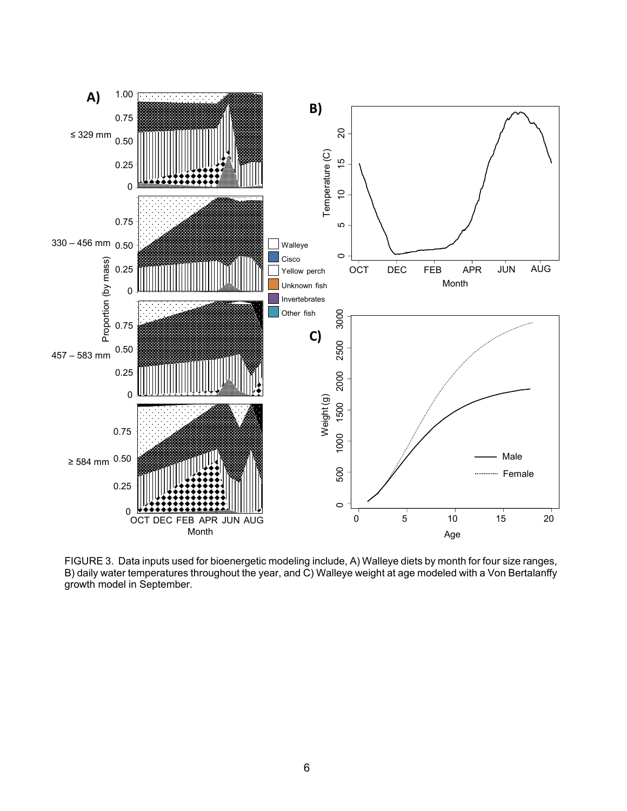

FIGURE 3. Data inputs used for bioenergetic modeling include, A) Walleye diets by month for four size ranges, B) daily water temperatures throughout the year, and C) Walleye weight at age modeled with a Von Bertalanffy growth model in September.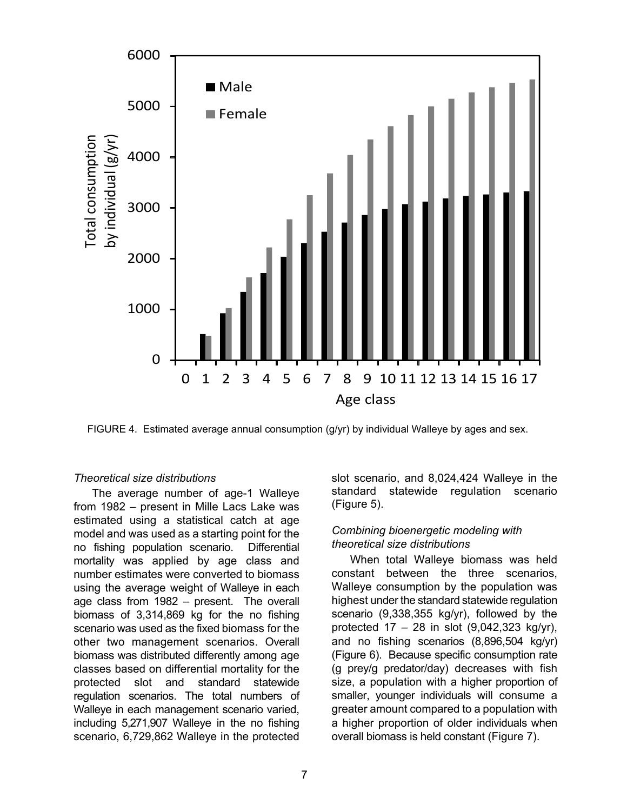

FIGURE 4. Estimated average annual consumption (g/yr) by individual Walleye by ages and sex.

## *Theoretical size distributions*

The average number of age-1 Walleye from 1982 – present in Mille Lacs Lake was estimated using a statistical catch at age model and was used as a starting point for the no fishing population scenario. Differential mortality was applied by age class and number estimates were converted to biomass using the average weight of Walleye in each age class from 1982 – present. The overall biomass of 3,314,869 kg for the no fishing scenario was used as the fixed biomass for the other two management scenarios. Overall biomass was distributed differently among age classes based on differential mortality for the protected slot and standard statewide regulation scenarios. The total numbers of Walleye in each management scenario varied, including 5,271,907 Walleye in the no fishing scenario, 6,729,862 Walleye in the protected slot scenario, and 8,024,424 Walleye in the standard statewide regulation scenario (Figure 5).

## *Combining bioenergetic modeling with theoretical size distributions*

When total Walleye biomass was held constant between the three scenarios, Walleye consumption by the population was highest under the standard statewide regulation scenario (9,338,355 kg/yr), followed by the protected  $17 - 28$  in slot  $(9,042,323 \text{ kg/yr})$ , and no fishing scenarios (8,896,504 kg/yr) (Figure 6). Because specific consumption rate (g prey/g predator/day) decreases with fish size, a population with a higher proportion of smaller, younger individuals will consume a greater amount compared to a population with a higher proportion of older individuals when overall biomass is held constant (Figure 7).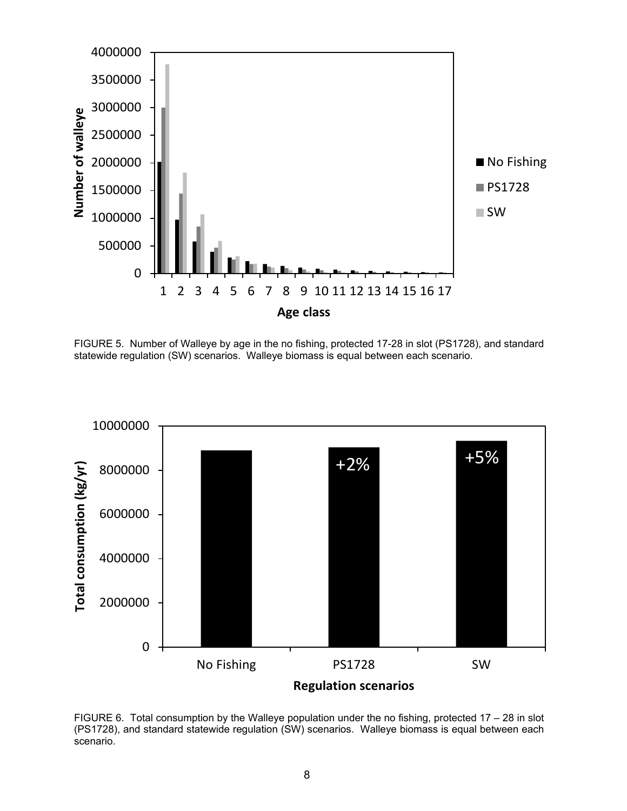

FIGURE 5. Number of Walleye by age in the no fishing, protected 17-28 in slot (PS1728), and standard statewide regulation (SW) scenarios. Walleye biomass is equal between each scenario.



FIGURE 6. Total consumption by the Walleye population under the no fishing, protected 17 – 28 in slot (PS1728), and standard statewide regulation (SW) scenarios. Walleye biomass is equal between each scenario.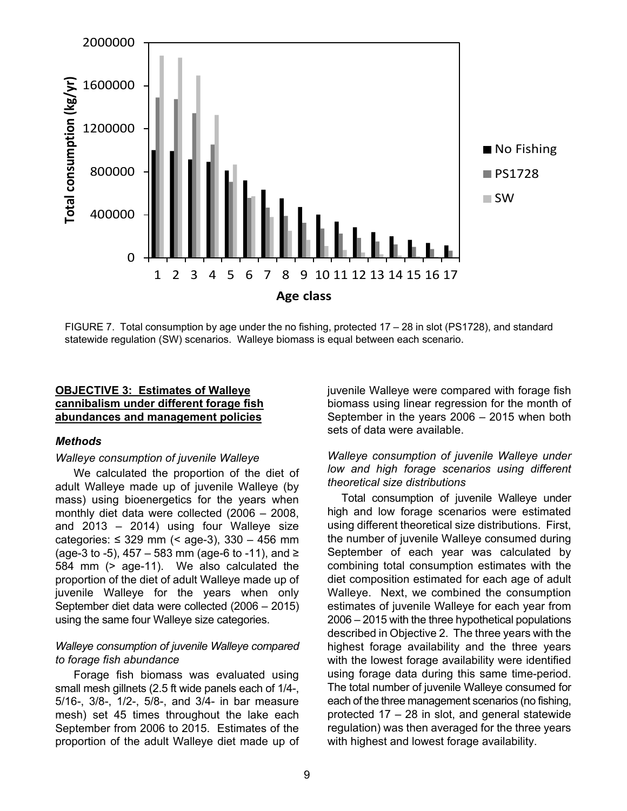

FIGURE 7. Total consumption by age under the no fishing, protected 17 – 28 in slot (PS1728), and standard statewide regulation (SW) scenarios. Walleye biomass is equal between each scenario.

#### **OBJECTIVE 3: Estimates of Walleye cannibalism under different forage fish abundances and management policies**

#### *Methods*

#### *Walleye consumption of juvenile Walleye*

We calculated the proportion of the diet of adult Walleye made up of juvenile Walleye (by mass) using bioenergetics for the years when monthly diet data were collected (2006 – 2008, and 2013 – 2014) using four Walleye size categories:  $\leq$  329 mm (< age-3), 330 - 456 mm (age-3 to -5), 457 – 583 mm (age-6 to -11), and ≥ 584 mm (> age-11). We also calculated the proportion of the diet of adult Walleye made up of juvenile Walleye for the years when only September diet data were collected (2006 – 2015) using the same four Walleye size categories.

#### *Walleye consumption of juvenile Walleye compared to forage fish abundance*

Forage fish biomass was evaluated using small mesh gillnets (2.5 ft wide panels each of 1/4-, 5/16-, 3/8-, 1/2-, 5/8-, and 3/4- in bar measure mesh) set 45 times throughout the lake each September from 2006 to 2015. Estimates of the proportion of the adult Walleye diet made up of juvenile Walleye were compared with forage fish biomass using linear regression for the month of September in the years 2006 – 2015 when both sets of data were available.

#### *Walleye consumption of juvenile Walleye under low and high forage scenarios using different theoretical size distributions*

Total consumption of juvenile Walleye under high and low forage scenarios were estimated using different theoretical size distributions. First, the number of juvenile Walleye consumed during September of each year was calculated by combining total consumption estimates with the diet composition estimated for each age of adult Walleye. Next, we combined the consumption estimates of juvenile Walleye for each year from 2006 – 2015 with the three hypothetical populations described in Objective 2. The three years with the highest forage availability and the three years with the lowest forage availability were identified using forage data during this same time-period. The total number of juvenile Walleye consumed for each of the three management scenarios (no fishing, protected 17 – 28 in slot, and general statewide regulation) was then averaged for the three years with highest and lowest forage availability.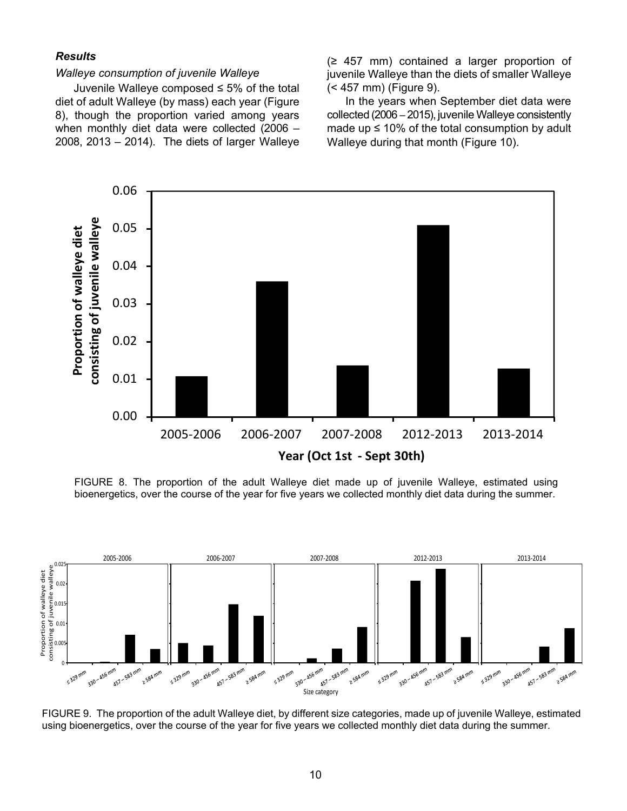#### *Results*

#### *Walleye consumption of juvenile Walleye*

Juvenile Walleye composed ≤ 5% of the total diet of adult Walleye (by mass) each year (Figure 8), though the proportion varied among years when monthly diet data were collected (2006 – 2008, 2013 – 2014). The diets of larger Walleye

(≥ 457 mm) contained a larger proportion of juvenile Walleye than the diets of smaller Walleye (< 457 mm) (Figure 9).

In the years when September diet data were collected (2006 – 2015), juvenile Walleye consistently made up  $\leq 10\%$  of the total consumption by adult Walleye during that month (Figure 10).



FIGURE 8. The proportion of the adult Walleye diet made up of juvenile Walleye, estimated using bioenergetics, over the course of the year for five years we collected monthly diet data during the summer.



FIGURE 9. The proportion of the adult Walleye diet, by different size categories, made up of juvenile Walleye, estimated using bioenergetics, over the course of the year for five years we collected monthly diet data during the summer.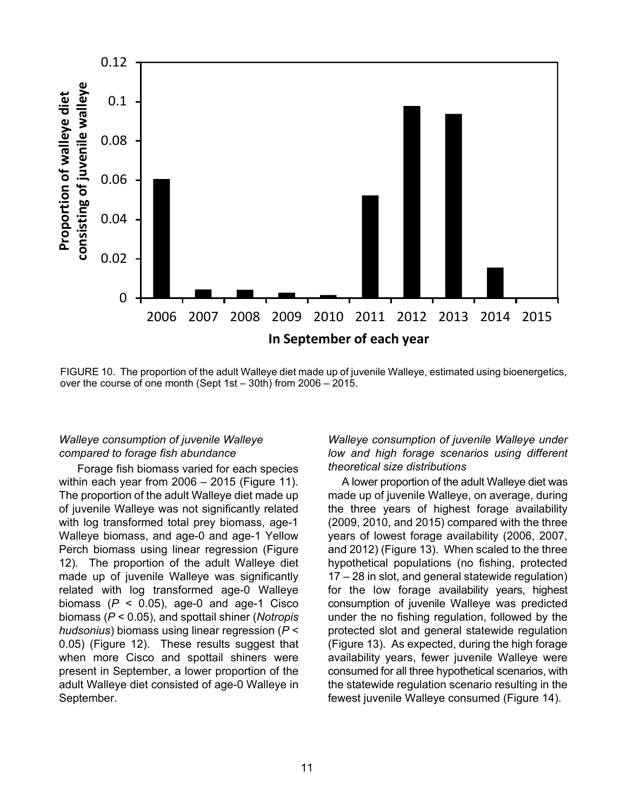

FIGURE 10. The proportion of the adult Walleye diet made up of juvenile Walleye, estimated using bioenergetics, over the course of one month (Sept 1st – 30th) from 2006 – 2015.

## *Walleye consumption of juvenile Walleye compared to forage fish abundance*

Forage fish biomass varied for each species within each year from 2006 – 2015 (Figure 11). The proportion of the adult Walleye diet made up of juvenile Walleye was not significantly related with log transformed total prey biomass, age-1 Walleye biomass, and age-0 and age-1 Yellow Perch biomass using linear regression (Figure 12). The proportion of the adult Walleye diet made up of juvenile Walleye was significantly related with log transformed age-0 Walleye biomass  $(P < 0.05)$ , age-0 and age-1 Cisco biomass (*P* < 0.05), and spottail shiner (*Notropis hudsonius*) biomass using linear regression (*P* < 0.05) (Figure 12). These results suggest that when more Cisco and spottail shiners were present in September, a lower proportion of the adult Walleye diet consisted of age-0 Walleye in September.

*Walleye consumption of juvenile Walleye under low and high forage scenarios using different theoretical size distributions*

A lower proportion of the adult Walleye diet was made up of juvenile Walleye, on average, during the three years of highest forage availability (2009, 2010, and 2015) compared with the three years of lowest forage availability (2006, 2007, and 2012) (Figure 13). When scaled to the three hypothetical populations (no fishing, protected 17 – 28 in slot, and general statewide regulation) for the low forage availability years, highest consumption of juvenile Walleye was predicted under the no fishing regulation, followed by the protected slot and general statewide regulation (Figure 13). As expected, during the high forage availability years, fewer juvenile Walleye were consumed for all three hypothetical scenarios, with the statewide regulation scenario resulting in the fewest juvenile Walleye consumed (Figure 14).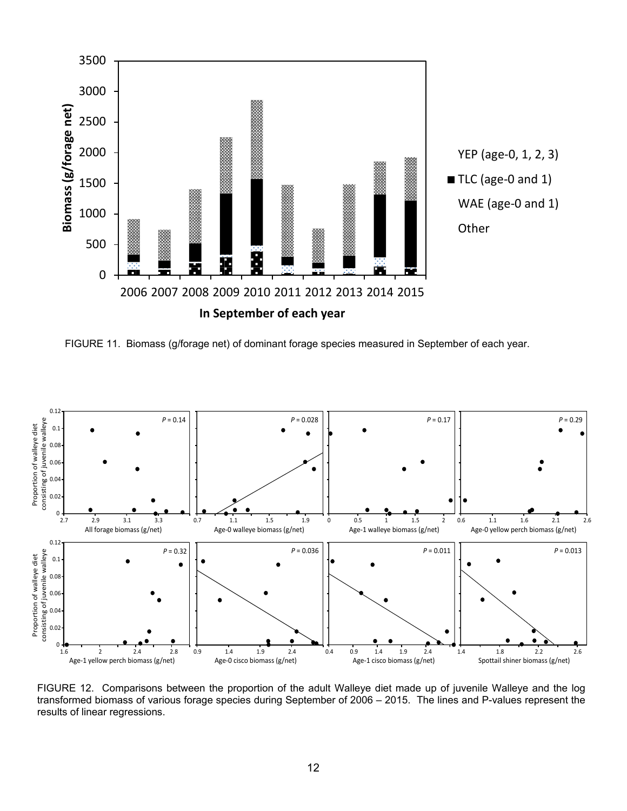

FIGURE 11. Biomass (g/forage net) of dominant forage species measured in September of each year.



FIGURE 12. Comparisons between the proportion of the adult Walleye diet made up of juvenile Walleye and the log transformed biomass of various forage species during September of 2006 – 2015. The lines and P-values represent the results of linear regressions.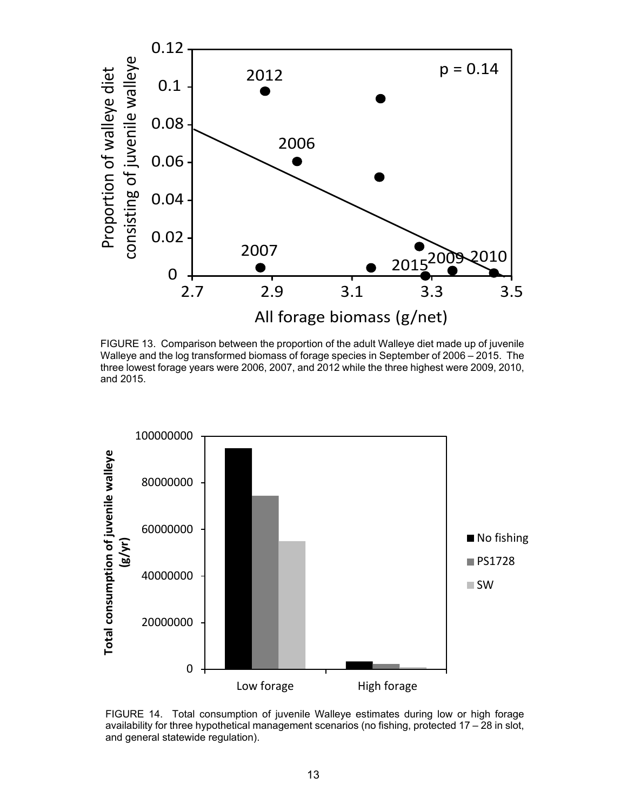

FIGURE 13. Comparison between the proportion of the adult Walleye diet made up of juvenile Walleye and the log transformed biomass of forage species in September of 2006 – 2015. The three lowest forage years were 2006, 2007, and 2012 while the three highest were 2009, 2010, and 2015.



FIGURE 14. Total consumption of juvenile Walleye estimates during low or high forage availability for three hypothetical management scenarios (no fishing, protected 17 – 28 in slot, and general statewide regulation).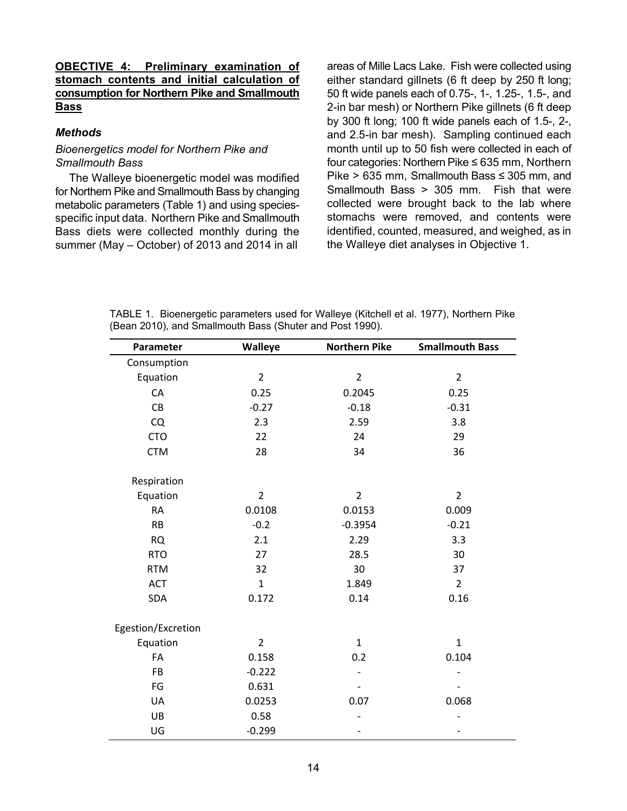#### **OBECTIVE 4: Preliminary examination of stomach contents and initial calculation of consumption for Northern Pike and Smallmouth Bass**

#### *Methods*

#### *Bioenergetics model for Northern Pike and Smallmouth Bass*

The Walleye bioenergetic model was modified for Northern Pike and Smallmouth Bass by changing metabolic parameters (Table 1) and using speciesspecific input data. Northern Pike and Smallmouth Bass diets were collected monthly during the summer (May – October) of 2013 and 2014 in all

areas of Mille Lacs Lake. Fish were collected using either standard gillnets (6 ft deep by 250 ft long; 50 ft wide panels each of 0.75-, 1-, 1.25-, 1.5-, and 2-in bar mesh) or Northern Pike gillnets (6 ft deep by 300 ft long; 100 ft wide panels each of 1.5-, 2-, and 2.5-in bar mesh). Sampling continued each month until up to 50 fish were collected in each of four categories: Northern Pike ≤ 635 mm, Northern Pike > 635 mm, Smallmouth Bass ≤ 305 mm, and Smallmouth Bass > 305 mm. Fish that were collected were brought back to the lab where stomachs were removed, and contents were identified, counted, measured, and weighed, as in the Walleye diet analyses in Objective 1.

| Parameter          | Walleye        | <b>Northern Pike</b> | <b>Smallmouth Bass</b> |
|--------------------|----------------|----------------------|------------------------|
| Consumption        |                |                      |                        |
| Equation           | $\overline{2}$ | $\overline{2}$       | $\overline{2}$         |
| CA                 | 0.25           | 0.2045               | 0.25                   |
| CB                 | $-0.27$        | $-0.18$              | $-0.31$                |
| CQ                 | 2.3            | 2.59                 | 3.8                    |
| <b>CTO</b>         | 22             | 24                   | 29                     |
| <b>CTM</b>         | 28             | 34                   | 36                     |
| Respiration        |                |                      |                        |
| Equation           | $\overline{2}$ | $\overline{2}$       | $\overline{2}$         |
| <b>RA</b>          | 0.0108         | 0.0153               | 0.009                  |
| <b>RB</b>          | $-0.2$         | $-0.3954$            | $-0.21$                |
| <b>RQ</b>          | 2.1            | 2.29                 | 3.3                    |
| <b>RTO</b>         | 27             | 28.5                 | 30                     |
| <b>RTM</b>         | 32             | 30                   | 37                     |
| ACT                | $\mathbf{1}$   | 1.849                | $\overline{2}$         |
| SDA                | 0.172          | 0.14                 | 0.16                   |
| Egestion/Excretion |                |                      |                        |
| Equation           | $\overline{2}$ | $\mathbf{1}$         | $\mathbf{1}$           |
| FA                 | 0.158          | 0.2                  | 0.104                  |
| <b>FB</b>          | $-0.222$       |                      |                        |
| FG                 | 0.631          |                      |                        |
| UA                 | 0.0253         | 0.07                 | 0.068                  |
| UB                 | 0.58           |                      |                        |
| UG                 | $-0.299$       |                      |                        |

TABLE 1. Bioenergetic parameters used for Walleye (Kitchell et al. 1977), Northern Pike (Bean 2010), and Smallmouth Bass (Shuter and Post 1990).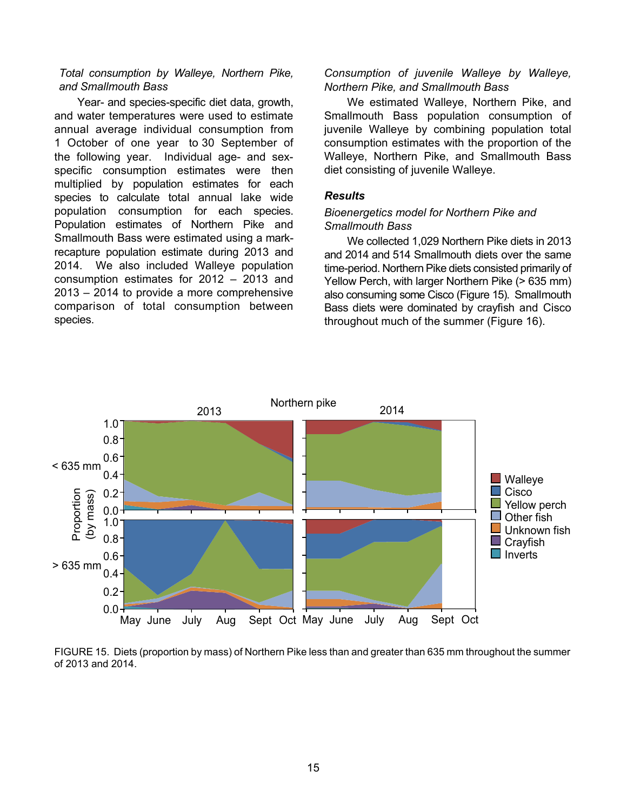#### *Total consumption by Walleye, Northern Pike, and Smallmouth Bass*

Year- and species-specific diet data, growth, and water temperatures were used to estimate annual average individual consumption from 1 October of one year to 30 September of the following year. Individual age- and sexspecific consumption estimates were then multiplied by population estimates for each species to calculate total annual lake wide population consumption for each species. Population estimates of Northern Pike and Smallmouth Bass were estimated using a markrecapture population estimate during 2013 and 2014. We also included Walleye population consumption estimates for 2012 – 2013 and 2013 – 2014 to provide a more comprehensive comparison of total consumption between species.

#### *Consumption of juvenile Walleye by Walleye, Northern Pike, and Smallmouth Bass*

We estimated Walleye, Northern Pike, and Smallmouth Bass population consumption of juvenile Walleye by combining population total consumption estimates with the proportion of the Walleye, Northern Pike, and Smallmouth Bass diet consisting of juvenile Walleye.

#### *Results*

#### *Bioenergetics model for Northern Pike and Smallmouth Bass*

We collected 1,029 Northern Pike diets in 2013 and 2014 and 514 Smallmouth diets over the same time-period. Northern Pike diets consisted primarily of Yellow Perch, with larger Northern Pike (> 635 mm) also consuming some Cisco (Figure 15). Smallmouth Bass diets were dominated by crayfish and Cisco throughout much of the summer (Figure 16).



FIGURE 15. Diets (proportion by mass) of Northern Pike less than and greater than 635 mm throughout the summer of 2013 and 2014.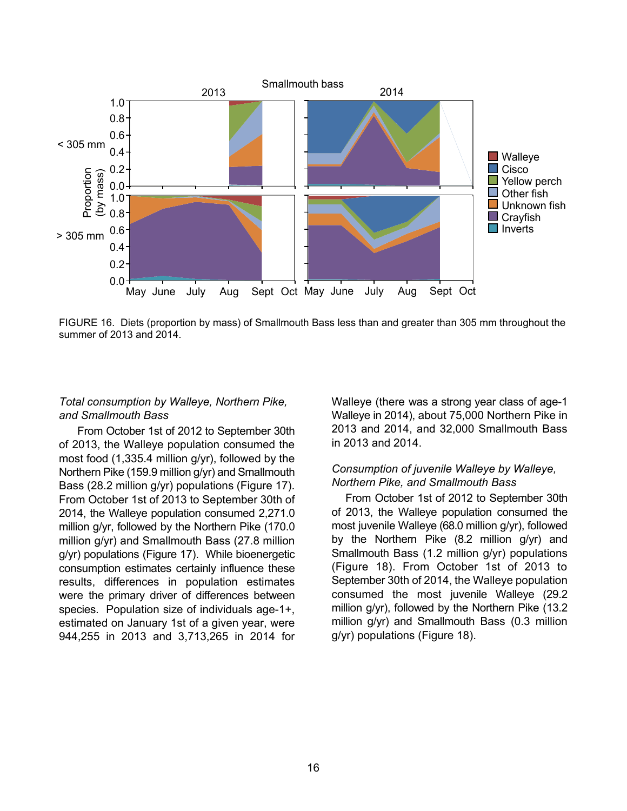

FIGURE 16. Diets (proportion by mass) of Smallmouth Bass less than and greater than 305 mm throughout the summer of 2013 and 2014.

## *Total consumption by Walleye, Northern Pike, and Smallmouth Bass*

From October 1st of 2012 to September 30th of 2013, the Walleye population consumed the most food (1,335.4 million g/yr), followed by the Northern Pike (159.9 million g/yr) and Smallmouth Bass (28.2 million g/yr) populations (Figure 17). From October 1st of 2013 to September 30th of 2014, the Walleye population consumed 2,271.0 million g/yr, followed by the Northern Pike (170.0 million g/yr) and Smallmouth Bass (27.8 million g/yr) populations (Figure 17). While bioenergetic consumption estimates certainly influence these results, differences in population estimates were the primary driver of differences between species. Population size of individuals age-1+, estimated on January 1st of a given year, were 944,255 in 2013 and 3,713,265 in 2014 for

Walleye (there was a strong year class of age-1 Walleye in 2014), about 75,000 Northern Pike in 2013 and 2014, and 32,000 Smallmouth Bass in 2013 and 2014.

#### *Consumption of juvenile Walleye by Walleye, Northern Pike, and Smallmouth Bass*

From October 1st of 2012 to September 30th of 2013, the Walleye population consumed the most juvenile Walleye (68.0 million g/yr), followed by the Northern Pike (8.2 million g/yr) and Smallmouth Bass (1.2 million g/yr) populations (Figure 18). From October 1st of 2013 to September 30th of 2014, the Walleye population consumed the most juvenile Walleye (29.2 million g/yr), followed by the Northern Pike (13.2 million g/yr) and Smallmouth Bass (0.3 million g/yr) populations (Figure 18).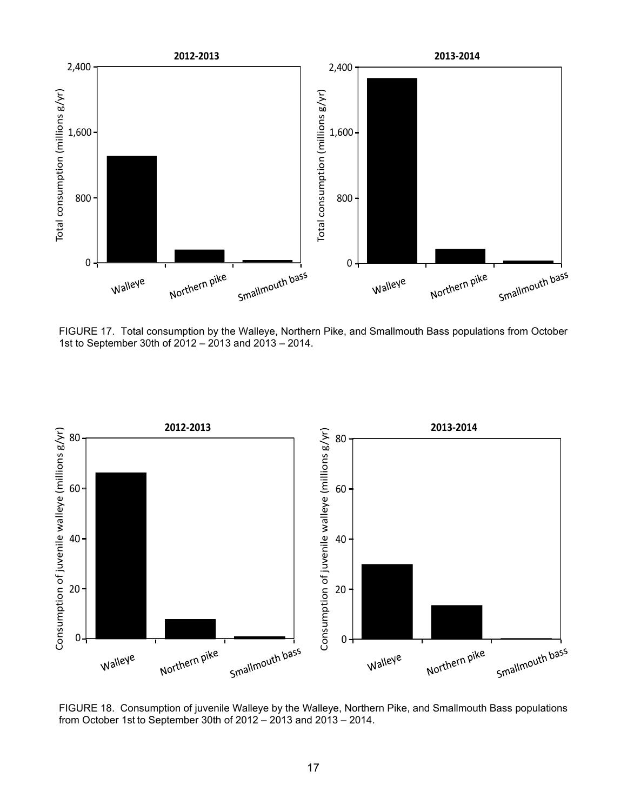

FIGURE 17. Total consumption by the Walleye, Northern Pike, and Smallmouth Bass populations from October 1st to September 30th of 2012 – 2013 and 2013 – 2014.



FIGURE 18. Consumption of juvenile Walleye by the Walleye, Northern Pike, and Smallmouth Bass populations from October 1st to September 30th of 2012 - 2013 and 2013 - 2014.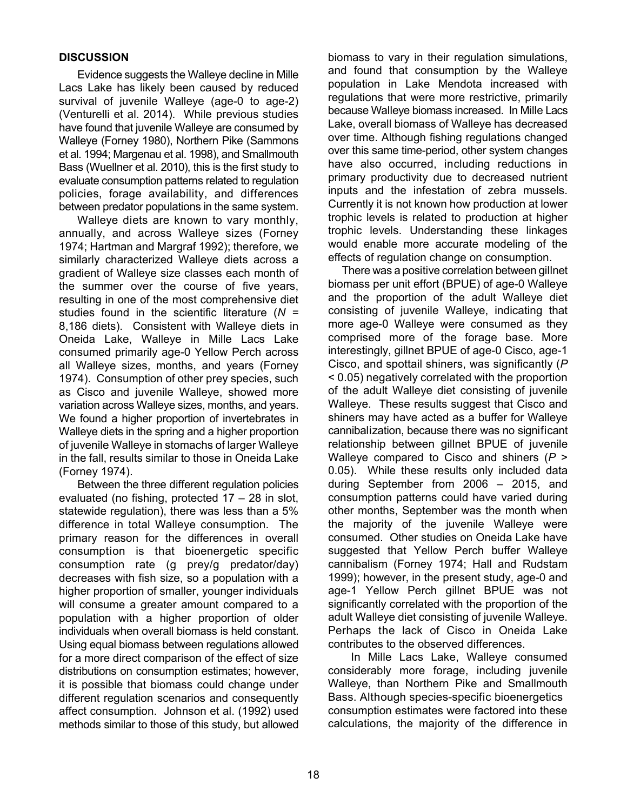## **DISCUSSION**

Evidence suggests the Walleye decline in Mille Lacs Lake has likely been caused by reduced survival of juvenile Walleye (age-0 to age-2) (Venturelli et al. 2014). While previous studies have found that juvenile Walleye are consumed by Walleye (Forney 1980), Northern Pike (Sammons et al. 1994; Margenau et al. 1998), and Smallmouth Bass (Wuellner et al. 2010), this is the first study to evaluate consumption patterns related to regulation policies, forage availability, and differences between predator populations in the same system.

Walleye diets are known to vary monthly, annually, and across Walleye sizes (Forney 1974; Hartman and Margraf 1992); therefore, we similarly characterized Walleye diets across a gradient of Walleye size classes each month of the summer over the course of five years, resulting in one of the most comprehensive diet studies found in the scientific literature (*N =*  8,186 diets). Consistent with Walleye diets in Oneida Lake, Walleye in Mille Lacs Lake consumed primarily age-0 Yellow Perch across all Walleye sizes, months, and years (Forney 1974). Consumption of other prey species, such as Cisco and juvenile Walleye, showed more variation across Walleye sizes, months, and years. We found a higher proportion of invertebrates in Walleye diets in the spring and a higher proportion of juvenile Walleye in stomachs of larger Walleye in the fall, results similar to those in Oneida Lake (Forney 1974).

Between the three different regulation policies evaluated (no fishing, protected 17 – 28 in slot, statewide regulation), there was less than a 5% difference in total Walleye consumption. The primary reason for the differences in overall consumption is that bioenergetic specific consumption rate (g prey/g predator/day) decreases with fish size, so a population with a higher proportion of smaller, younger individuals will consume a greater amount compared to a population with a higher proportion of older individuals when overall biomass is held constant. Using equal biomass between regulations allowed for a more direct comparison of the effect of size distributions on consumption estimates; however, it is possible that biomass could change under different regulation scenarios and consequently affect consumption. Johnson et al. (1992) used methods similar to those of this study, but allowed

biomass to vary in their regulation simulations, and found that consumption by the Walleye population in Lake Mendota increased with regulations that were more restrictive, primarily because Walleye biomass increased. In Mille Lacs Lake, overall biomass of Walleye has decreased over time. Although fishing regulations changed over this same time-period, other system changes have also occurred, including reductions in primary productivity due to decreased nutrient inputs and the infestation of zebra mussels. Currently it is not known how production at lower trophic levels is related to production at higher trophic levels. Understanding these linkages would enable more accurate modeling of the effects of regulation change on consumption.

There was a positive correlation between gillnet biomass per unit effort (BPUE) of age-0 Walleye and the proportion of the adult Walleye diet consisting of juvenile Walleye, indicating that more age-0 Walleye were consumed as they comprised more of the forage base. More interestingly, gillnet BPUE of age-0 Cisco, age-1 Cisco, and spottail shiners, was significantly (*P* < 0.05) negatively correlated with the proportion of the adult Walleye diet consisting of juvenile Walleye. These results suggest that Cisco and shiners may have acted as a buffer for Walleye cannibalization, because there was no significant relationship between gillnet BPUE of juvenile Walleye compared to Cisco and shiners (*P* > 0.05). While these results only included data during September from 2006 – 2015, and consumption patterns could have varied during other months, September was the month when the majority of the juvenile Walleye were consumed. Other studies on Oneida Lake have suggested that Yellow Perch buffer Walleye cannibalism (Forney 1974; Hall and Rudstam 1999); however, in the present study, age-0 and age-1 Yellow Perch gillnet BPUE was not significantly correlated with the proportion of the adult Walleye diet consisting of juvenile Walleye. Perhaps the lack of Cisco in Oneida Lake contributes to the observed differences.

In Mille Lacs Lake, Walleye consumed considerably more forage, including juvenile Walleye, than Northern Pike and Smallmouth Bass. Although species-specific bioenergetics consumption estimates were factored into these calculations, the majority of the difference in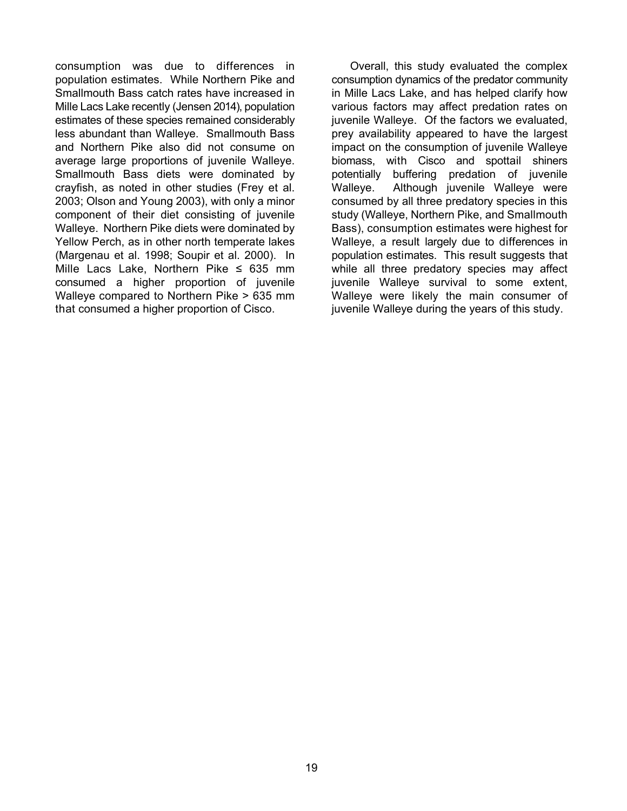consumption was due to differences in population estimates. While Northern Pike and Smallmouth Bass catch rates have increased in Mille Lacs Lake recently (Jensen 2014), population estimates of these species remained considerably less abundant than Walleye. Smallmouth Bass and Northern Pike also did not consume on average large proportions of juvenile Walleye. Smallmouth Bass diets were dominated by crayfish, as noted in other studies (Frey et al. 2003; Olson and Young 2003), with only a minor component of their diet consisting of juvenile Walleye. Northern Pike diets were dominated by Yellow Perch, as in other north temperate lakes (Margenau et al. 1998; Soupir et al. 2000). In Mille Lacs Lake, Northern Pike  $\leq$  635 mm consumed a higher proportion of juvenile Walleye compared to Northern Pike > 635 mm that consumed a higher proportion of Cisco.

Overall, this study evaluated the complex consumption dynamics of the predator community in Mille Lacs Lake, and has helped clarify how various factors may affect predation rates on juvenile Walleye. Of the factors we evaluated, prey availability appeared to have the largest impact on the consumption of juvenile Walleye biomass, with Cisco and spottail shiners potentially buffering predation of juvenile Walleye. Although juvenile Walleye were consumed by all three predatory species in this study (Walleye, Northern Pike, and Smallmouth Bass), consumption estimates were highest for Walleye, a result largely due to differences in population estimates. This result suggests that while all three predatory species may affect juvenile Walleye survival to some extent, Walleye were likely the main consumer of juvenile Walleye during the years of this study.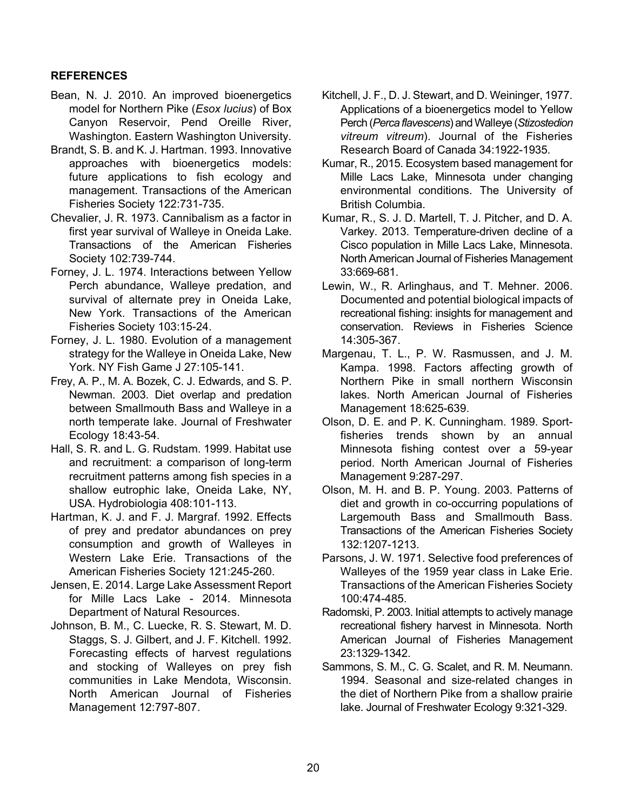# **REFERENCES**

- Bean, N. J. 2010. An improved bioenergetics model for Northern Pike (*Esox lucius*) of Box Canyon Reservoir, Pend Oreille River, Washington. Eastern Washington University.
- Brandt, S. B. and K. J. Hartman. 1993. Innovative approaches with bioenergetics models: future applications to fish ecology and management. Transactions of the American Fisheries Society 122:731-735.
- Chevalier, J. R. 1973. Cannibalism as a factor in first year survival of Walleye in Oneida Lake. Transactions of the American Fisheries Society 102:739-744.
- Forney, J. L. 1974. Interactions between Yellow Perch abundance, Walleye predation, and survival of alternate prey in Oneida Lake, New York. Transactions of the American Fisheries Society 103:15-24.
- Forney, J. L. 1980. Evolution of a management strategy for the Walleye in Oneida Lake, New York. NY Fish Game J 27:105-141.
- Frey, A. P., M. A. Bozek, C. J. Edwards, and S. P. Newman. 2003. Diet overlap and predation between Smallmouth Bass and Walleye in a north temperate lake. Journal of Freshwater Ecology 18:43-54.
- Hall, S. R. and L. G. Rudstam. 1999. Habitat use and recruitment: a comparison of long-term recruitment patterns among fish species in a shallow eutrophic lake, Oneida Lake, NY, USA. Hydrobiologia 408:101-113.
- Hartman, K. J. and F. J. Margraf. 1992. Effects of prey and predator abundances on prey consumption and growth of Walleyes in Western Lake Erie. Transactions of the American Fisheries Society 121:245-260.
- Jensen, E. 2014. Large Lake Assessment Report for Mille Lacs Lake - 2014. Minnesota Department of Natural Resources.
- Johnson, B. M., C. Luecke, R. S. Stewart, M. D. Staggs, S. J. Gilbert, and J. F. Kitchell. 1992. Forecasting effects of harvest regulations and stocking of Walleyes on prey fish communities in Lake Mendota, Wisconsin. North American Journal of Fisheries Management 12:797-807.
- Kitchell, J. F., D. J. Stewart, and D. Weininger, 1977. Applications of a bioenergetics model to Yellow Perch (*Perca flavescens*) and Walleye (*Stizostedion vitreum vitreum*). Journal of the Fisheries Research Board of Canada 34:1922-1935.
- Kumar, R., 2015. Ecosystem based management for Mille Lacs Lake, Minnesota under changing environmental conditions. The University of British Columbia.
- Kumar, R., S. J. D. Martell, T. J. Pitcher, and D. A. Varkey. 2013. Temperature-driven decline of a Cisco population in Mille Lacs Lake, Minnesota. North American Journal of Fisheries Management 33:669-681.
- Lewin, W., R. Arlinghaus, and T. Mehner. 2006. Documented and potential biological impacts of recreational fishing: insights for management and conservation. Reviews in Fisheries Science 14:305-367.
- Margenau, T. L., P. W. Rasmussen, and J. M. Kampa. 1998. Factors affecting growth of Northern Pike in small northern Wisconsin lakes. North American Journal of Fisheries Management 18:625-639.
- Olson, D. E. and P. K. Cunningham. 1989. Sportfisheries trends shown by an annual Minnesota fishing contest over a 59-year period. North American Journal of Fisheries Management 9:287-297.
- Olson, M. H. and B. P. Young. 2003. Patterns of diet and growth in co-occurring populations of Largemouth Bass and Smallmouth Bass. Transactions of the American Fisheries Society 132:1207-1213.
- Parsons, J. W. 1971. Selective food preferences of Walleyes of the 1959 year class in Lake Erie. Transactions of the American Fisheries Society 100:474-485.
- Radomski, P. 2003. Initial attempts to actively manage recreational fishery harvest in Minnesota. North American Journal of Fisheries Management 23:1329-1342.
- Sammons, S. M., C. G. Scalet, and R. M. Neumann. 1994. Seasonal and size-related changes in the diet of Northern Pike from a shallow prairie lake. Journal of Freshwater Ecology 9:321-329.